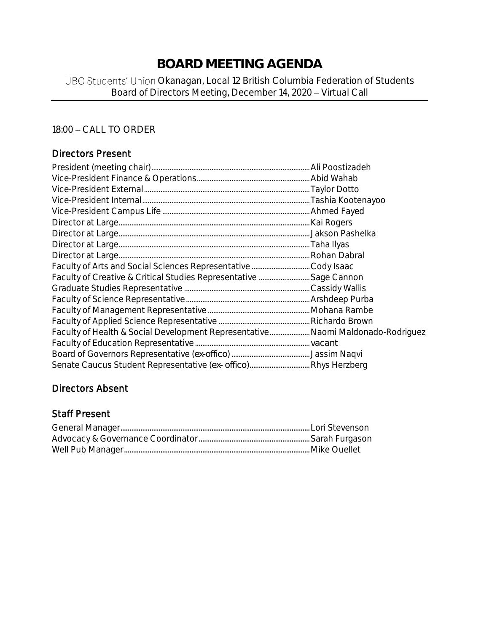# **BOARD MEETING AGENDA**

## UBC Students' Union Okanagan, Local 12 British Columbia Federation of Students Board of Directors Meeting, December 14, 2020 - Virtual Call

## 18:00 - CALL TO ORDER

### Directors Present

| Faculty of Health & Social Development Representative Naomi Maldonado-Rodriguez |  |
|---------------------------------------------------------------------------------|--|
|                                                                                 |  |
|                                                                                 |  |
|                                                                                 |  |

## Directors Absent

### Staff Present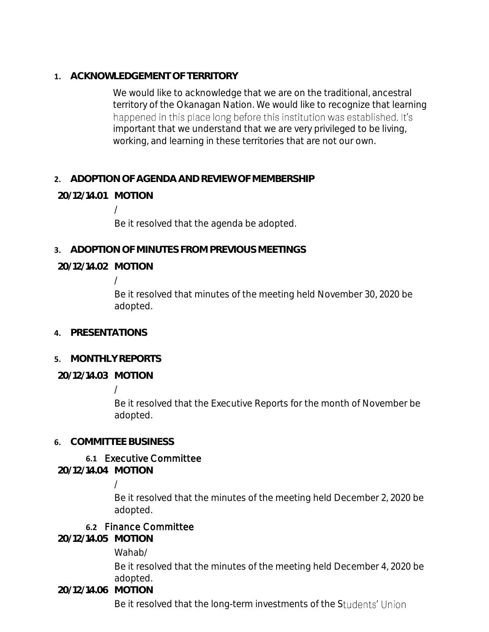**1. ACKNOWLEDGEMENT OF TERRITORY**

We would like to acknowledge that we are on the traditional, ancestral territory of the Okanagan Nation. We would like to recognize that learning happened in this place long before this institution was established. It's important that we understand that we are very privileged to be living, working, and learning in these territories that are not our own.

## **2. ADOPTION OF AGENDA AND REVIEW OF MEMBERSHIP**

## **20/12/14.01 MOTION**

/

Be it resolved that the agenda be adopted.

**3. ADOPTION OF MINUTES FROM PREVIOUS MEETINGS**

### **20/12/14.02 MOTION**

/

Be it resolved that minutes of the meeting held November 30, 2020 be adopted.

**4. PRESENTATIONS**

### **5. MONTHLY REPORTS**

**20/12/14.03 MOTION**

/

Be it resolved that the Executive Reports for the month of November be adopted.

### **6. COMMITTEE BUSINESS**

## **6.1** Executive Committee

**20/12/14.04 MOTION**

### /

Be it resolved that the minutes of the meeting held December 2, 2020 be adopted.

### **6.2** Finance Committee

**20/12/14.05 MOTION**

Wahab/

Be it resolved that the minutes of the meeting held December 4, 2020 be adopted.

**20/12/14.06 MOTION**

Be it resolved that the long-term investments of the Students' Union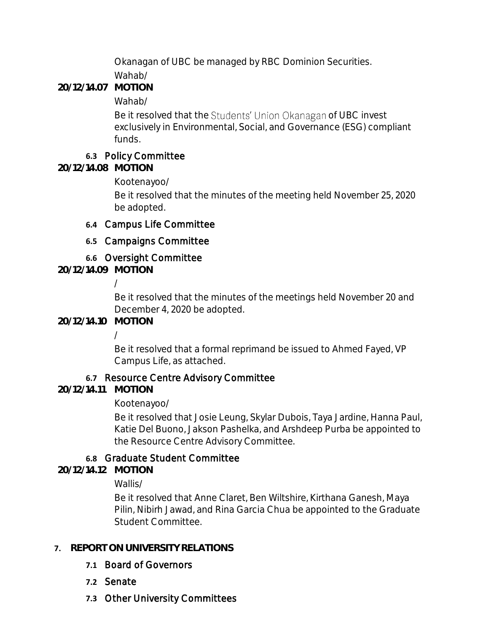Okanagan of UBC be managed by RBC Dominion Securities.

Wahab/

**20/12/14.07 MOTION**

Wahab/

Be it resolved that the Students' Union Okanagan of UBC invest exclusively in Environmental, Social, and Governance (ESG) compliant funds.

## **6.3** Policy Committee

**20/12/14.08 MOTION**

Kootenayoo/

Be it resolved that the minutes of the meeting held November 25, 2020 be adopted.

## **6.4** Campus Life Committee

## **6.5** Campaigns Committee

## **6.6** Oversight Committee

**20/12/14.09 MOTION**

/

Be it resolved that the minutes of the meetings held November 20 and December 4, 2020 be adopted.

**20/12/14.10 MOTION**

/

Be it resolved that a formal reprimand be issued to Ahmed Fayed, VP Campus Life, as attached.

## **6.7** Resource Centre Advisory Committee

**20/12/14.11 MOTION**

Kootenayoo/

Be it resolved that Josie Leung, Skylar Dubois, Taya Jardine, Hanna Paul, Katie Del Buono, Jakson Pashelka, and Arshdeep Purba be appointed to the Resource Centre Advisory Committee.

## **6.8** Graduate Student Committee

**20/12/14.12 MOTION**

Wallis/

Be it resolved that Anne Claret, Ben Wiltshire, Kirthana Ganesh, Maya Pilin, Nibirh Jawad, and Rina Garcia Chua be appointed to the Graduate Student Committee.

## **7. REPORT ON UNIVERSITY RELATIONS**

- **7.1** Board of Governors
- **7.2** Senate
- **7.3** Other University Committees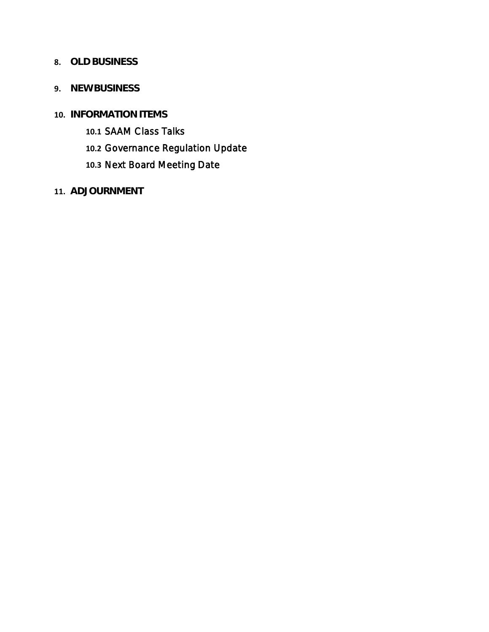### **8. OLD BUSINESS**

- **9. NEW BUSINESS**
- **10. INFORMATION ITEMS**
	- **10.1** SAAM Class Talks
	- **10.2** Governance Regulation Update
	- **10.3** Next Board Meeting Date
- **11. ADJOURNMENT**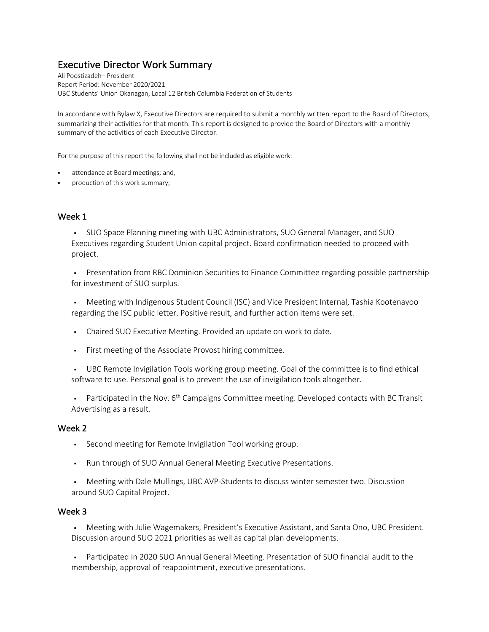# Executive Director Work Summary Ali Poostizadeh– President

Report Period: November 2020/2021 UBC Students' Union Okanagan, Local 12 British Columbia Federation of Students

In accordance with Bylaw X, Executive Directors are required to submit a monthly written report to the Board of Directors, summarizing their activities for that month. This report is designed to provide the Board of Directors with a monthly summary of the activities of each Executive Director.

For the purpose of this report the following shall not be included as eligible work:

- attendance at Board meetings; and,
- production of this work summary;

### Week 1

§ SUO Space Planning meeting with UBC Administrators, SUO General Manager, and SUO Executives regarding Student Union capital project. Board confirmation needed to proceed with project.

• Presentation from RBC Dominion Securities to Finance Committee regarding possible partnership for investment of SUO surplus.

• Meeting with Indigenous Student Council (ISC) and Vice President Internal, Tashia Kootenayoo regarding the ISC public letter. Positive result, and further action items were set.

- Chaired SUO Executive Meeting. Provided an update on work to date.
- First meeting of the Associate Provost hiring committee.

§ UBC Remote Invigilation Tools working group meeting. Goal of the committee is to find ethical software to use. Personal goal is to prevent the use of invigilation tools altogether.

**•** Participated in the Nov.  $6<sup>th</sup>$  Campaigns Committee meeting. Developed contacts with BC Transit Advertising as a result.

### Week 2

- Second meeting for Remote Invigilation Tool working group.
- § Run through of SUO Annual General Meeting Executive Presentations.

§ Meeting with Dale Mullings, UBC AVP-Students to discuss winter semester two. Discussion around SUO Capital Project.

### Week 3

• Meeting with Julie Wagemakers, President's Executive Assistant, and Santa Ono, UBC President. Discussion around SUO 2021 priorities as well as capital plan developments.

§ Participated in 2020 SUO Annual General Meeting. Presentation of SUO financial audit to the membership, approval of reappointment, executive presentations.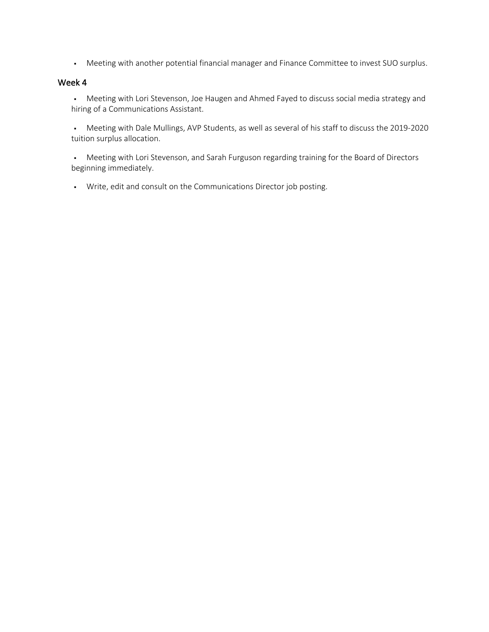• Meeting with another potential financial manager and Finance Committee to invest SUO surplus.

### Week 4

• Meeting with Lori Stevenson, Joe Haugen and Ahmed Fayed to discuss social media strategy and hiring of a Communications Assistant.

§ Meeting with Dale Mullings, AVP Students, as well as several of his staff to discuss the 2019-2020 tuition surplus allocation.

• Meeting with Lori Stevenson, and Sarah Furguson regarding training for the Board of Directors beginning immediately.

§ Write, edit and consult on the Communications Director job posting.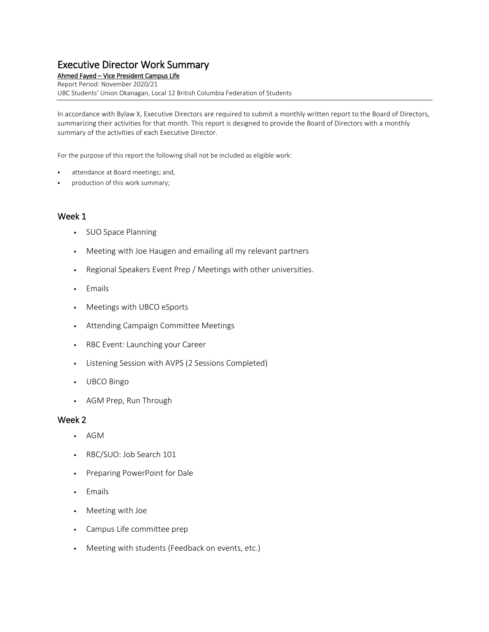## Executive Director Work Summary

Ahmed Fayed – Vice President Campus Life Report Period: November 2020/21 UBC Students' Union Okanagan, Local 12 British Columbia Federation of Students

In accordance with Bylaw X, Executive Directors are required to submit a monthly written report to the Board of Directors, summarizing their activities for that month. This report is designed to provide the Board of Directors with a monthly summary of the activities of each Executive Director.

For the purpose of this report the following shall not be included as eligible work:

- attendance at Board meetings; and,
- production of this work summary;

### Week 1

- SUO Space Planning
- Meeting with Joe Haugen and emailing all my relevant partners
- Regional Speakers Event Prep / Meetings with other universities.
- Emails
- Meetings with UBCO eSports
- Attending Campaign Committee Meetings
- RBC Event: Launching your Career
- Listening Session with AVPS (2 Sessions Completed)
- UBCO Bingo
- AGM Prep, Run Through

- AGM
- RBC/SUO: Job Search 101
- Preparing PowerPoint for Dale
- Emails
- Meeting with Joe
- Campus Life committee prep
- Meeting with students (Feedback on events, etc.)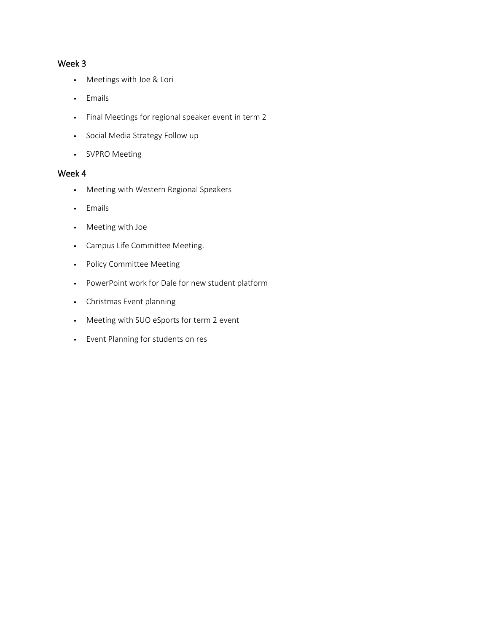### Week 3

- Meetings with Joe & Lori
- Emails
- Final Meetings for regional speaker event in term 2
- Social Media Strategy Follow up
- SVPRO Meeting

- Meeting with Western Regional Speakers
- Emails
- Meeting with Joe
- Campus Life Committee Meeting.
- Policy Committee Meeting
- PowerPoint work for Dale for new student platform
- Christmas Event planning
- Meeting with SUO eSports for term 2 event
- Event Planning for students on res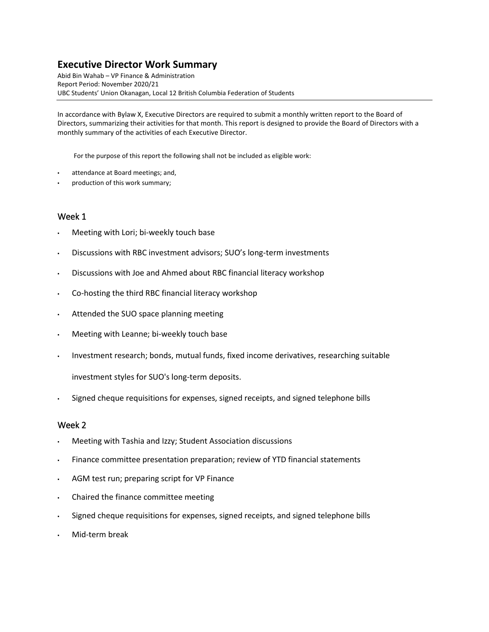### **Executive Director Work Summary**

Abid Bin Wahab – VP Finance & Administration Report Period: November 2020/21 UBC Students' Union Okanagan, Local 12 British Columbia Federation of Students

In accordance with Bylaw X, Executive Directors are required to submit a monthly written report to the Board of Directors, summarizing their activities for that month. This report is designed to provide the Board of Directors with a monthly summary of the activities of each Executive Director.

For the purpose of this report the following shall not be included as eligible work:

- attendance at Board meetings; and,
- production of this work summary;

### Week 1

- Meeting with Lori; bi-weekly touch base
- Discussions with RBC investment advisors; SUO's long-term investments
- Discussions with Joe and Ahmed about RBC financial literacy workshop
- Co-hosting the third RBC financial literacy workshop
- Attended the SUO space planning meeting
- Meeting with Leanne; bi-weekly touch base
- Investment research; bonds, mutual funds, fixed income derivatives, researching suitable

investment styles for SUO's long-term deposits.

Signed cheque requisitions for expenses, signed receipts, and signed telephone bills

- Meeting with Tashia and Izzy; Student Association discussions
- Finance committee presentation preparation; review of YTD financial statements
- AGM test run; preparing script for VP Finance
- Chaired the finance committee meeting
- Signed cheque requisitions for expenses, signed receipts, and signed telephone bills
- Mid-term break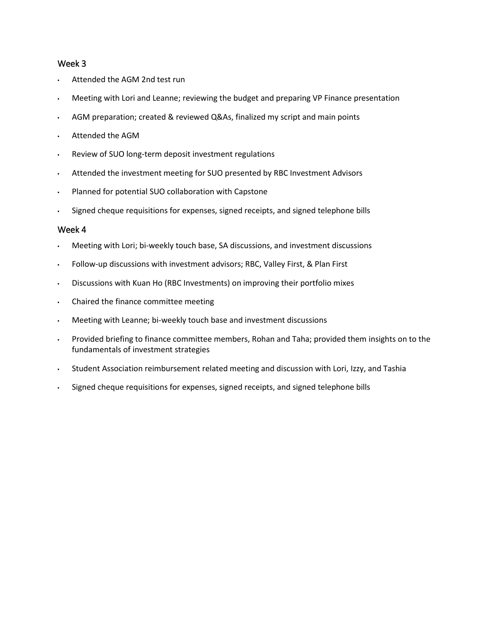### Week 3

- Attended the AGM 2nd test run
- Meeting with Lori and Leanne; reviewing the budget and preparing VP Finance presentation
- AGM preparation; created & reviewed Q&As, finalized my script and main points
- Attended the AGM
- Review of SUO long-term deposit investment regulations
- Attended the investment meeting for SUO presented by RBC Investment Advisors
- Planned for potential SUO collaboration with Capstone
- Signed cheque requisitions for expenses, signed receipts, and signed telephone bills

- Meeting with Lori; bi-weekly touch base, SA discussions, and investment discussions
- Follow-up discussions with investment advisors; RBC, Valley First, & Plan First
- Discussions with Kuan Ho (RBC Investments) on improving their portfolio mixes
- Chaired the finance committee meeting
- Meeting with Leanne; bi-weekly touch base and investment discussions
- Provided briefing to finance committee members, Rohan and Taha; provided them insights on to the fundamentals of investment strategies
- Student Association reimbursement related meeting and discussion with Lori, Izzy, and Tashia
- Signed cheque requisitions for expenses, signed receipts, and signed telephone bills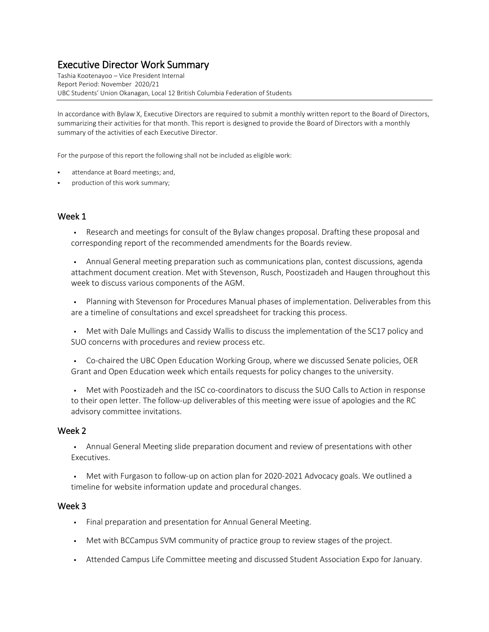### Executive Director Work Summary

Tashia Kootenayoo – Vice President Internal Report Period: November 2020/21 UBC Students' Union Okanagan, Local 12 British Columbia Federation of Students

In accordance with Bylaw X, Executive Directors are required to submit a monthly written report to the Board of Directors, summarizing their activities for that month. This report is designed to provide the Board of Directors with a monthly summary of the activities of each Executive Director.

For the purpose of this report the following shall not be included as eligible work:

- attendance at Board meetings; and,
- production of this work summary;

### Week 1

**• Research and meetings for consult of the Bylaw changes proposal. Drafting these proposal and** corresponding report of the recommended amendments for the Boards review.

**• Annual General meeting preparation such as communications plan, contest discussions, agenda** attachment document creation. Met with Stevenson, Rusch, Poostizadeh and Haugen throughout this week to discuss various components of the AGM.

Planning with Stevenson for Procedures Manual phases of implementation. Deliverables from this are a timeline of consultations and excel spreadsheet for tracking this process.

▪ Met with Dale Mullings and Cassidy Wallis to discuss the implementation of the SC17 policy and SUO concerns with procedures and review process etc.

▪ Co-chaired the UBC Open Education Working Group, where we discussed Senate policies, OER Grant and Open Education week which entails requests for policy changes to the university.

Met with Poostizadeh and the ISC co-coordinators to discuss the SUO Calls to Action in response to their open letter. The follow-up deliverables of this meeting were issue of apologies and the RC advisory committee invitations.

### Week 2

**•** Annual General Meeting slide preparation document and review of presentations with other Executives.

Met with Furgason to follow-up on action plan for 2020-2021 Advocacy goals. We outlined a timeline for website information update and procedural changes.

- Final preparation and presentation for Annual General Meeting.
- Met with BCCampus SVM community of practice group to review stages of the project.
- Attended Campus Life Committee meeting and discussed Student Association Expo for January.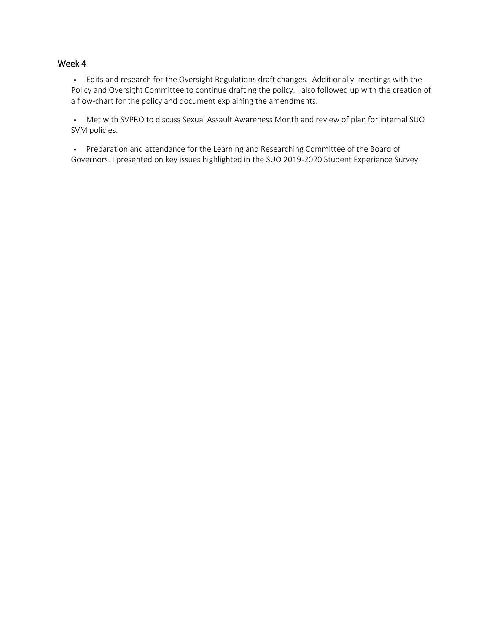### Week 4

▪ Edits and research for the Oversight Regulations draft changes. Additionally, meetings with the Policy and Oversight Committee to continue drafting the policy. I also followed up with the creation of a flow-chart for the policy and document explaining the amendments.

▪ Met with SVPRO to discuss Sexual Assault Awareness Month and review of plan for internal SUO SVM policies.

▪ Preparation and attendance for the Learning and Researching Committee of the Board of Governors. I presented on key issues highlighted in the SUO 2019-2020 Student Experience Survey.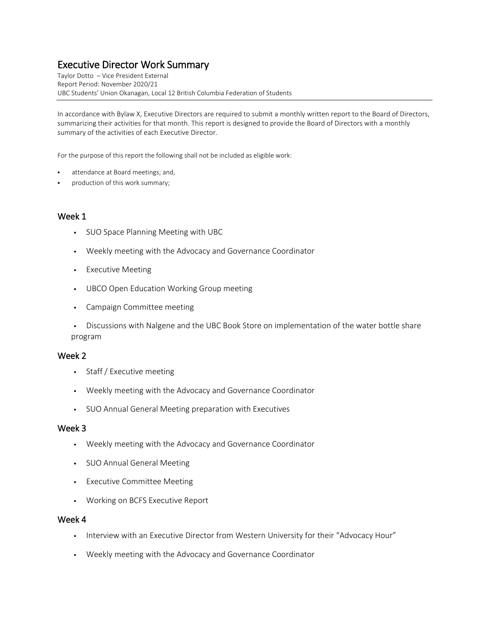### Executive Director Work Summary

Taylor Dotto – Vice President External Report Period: November 2020/21 UBC Students' Union Okanagan, Local 12 British Columbia Federation of Students

In accordance with Bylaw X, Executive Directors are required to submit a monthly written report to the Board of Directors, summarizing their activities for that month. This report is designed to provide the Board of Directors with a monthly summary of the activities of each Executive Director.

For the purpose of this report the following shall not be included as eligible work:

- attendance at Board meetings; and,
- production of this work summary;

### Week 1

- SUO Space Planning Meeting with UBC
- Weekly meeting with the Advocacy and Governance Coordinator
- **•** Executive Meeting
- UBCO Open Education Working Group meeting
- Campaign Committee meeting

**•** Discussions with Nalgene and the UBC Book Store on implementation of the water bottle share program

### Week 2

- Staff / Executive meeting
- Weekly meeting with the Advocacy and Governance Coordinator
- SUO Annual General Meeting preparation with Executives

### Week 3

- Weekly meeting with the Advocacy and Governance Coordinator
- SUO Annual General Meeting
- Executive Committee Meeting
- Working on BCFS Executive Report

- Interview with an Executive Director from Western University for their "Advocacy Hour"
- Weekly meeting with the Advocacy and Governance Coordinator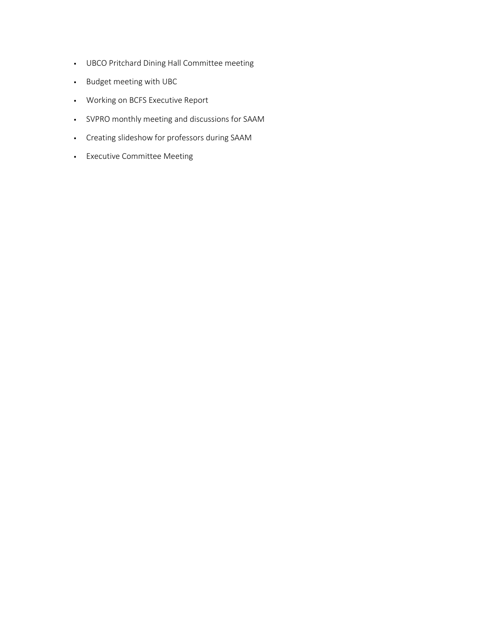- UBCO Pritchard Dining Hall Committee meeting
- Budget meeting with UBC
- Working on BCFS Executive Report
- SVPRO monthly meeting and discussions for SAAM
- Creating slideshow for professors during SAAM
- Executive Committee Meeting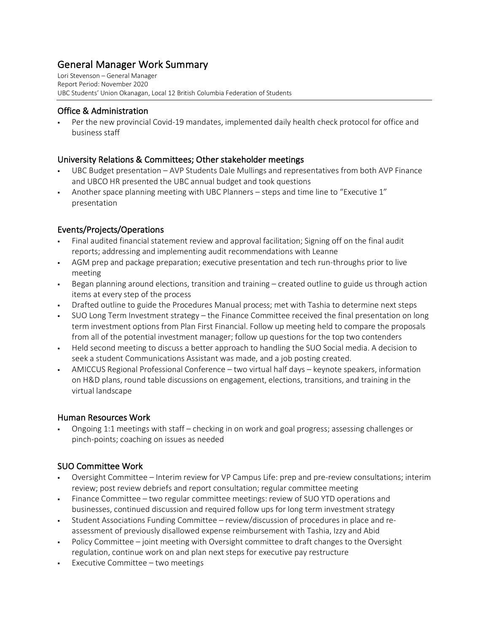# General Manager Work Summary<br>Lori Stevenson – General Manager

Report Period: November 2020 UBC Students' Union Okanagan, Local 12 British Columbia Federation of Students

### Office & Administration

Per the new provincial Covid-19 mandates, implemented daily health check protocol for office and business staff

### University Relations & Committees; Other stakeholder meetings

- UBC Budget presentation AVP Students Dale Mullings and representatives from both AVP Finance and UBCO HR presented the UBC annual budget and took questions
- § Another space planning meeting with UBC Planners steps and time line to "Executive 1" presentation

### Events/Projects/Operations

- Final audited financial statement review and approval facilitation; Signing off on the final audit reports; addressing and implementing audit recommendations with Leanne
- § AGM prep and package preparation; executive presentation and tech run-throughs prior to live meeting
- § Began planning around elections, transition and training created outline to guide us through action items at every step of the process
- Drafted outline to guide the Procedures Manual process; met with Tashia to determine next steps
- § SUO Long Term Investment strategy the Finance Committee received the final presentation on long term investment options from Plan First Financial. Follow up meeting held to compare the proposals from all of the potential investment manager; follow up questions for the top two contenders
- Held second meeting to discuss a better approach to handling the SUO Social media. A decision to seek a student Communications Assistant was made, and a job posting created.
- AMICCUS Regional Professional Conference two virtual half days keynote speakers, information on H&D plans, round table discussions on engagement, elections, transitions, and training in the virtual landscape

### Human Resources Work

§ Ongoing 1:1 meetings with staff – checking in on work and goal progress; assessing challenges or pinch-points; coaching on issues as needed

### SUO Committee Work

- § Oversight Committee Interim review for VP Campus Life: prep and pre-review consultations; interim review; post review debriefs and report consultation; regular committee meeting
- Finance Committee two regular committee meetings: review of SUO YTD operations and businesses, continued discussion and required follow ups for long term investment strategy
- § Student Associations Funding Committee review/discussion of procedures in place and reassessment of previously disallowed expense reimbursement with Tashia, Izzy and Abid
- Policy Committee joint meeting with Oversight committee to draft changes to the Oversight regulation, continue work on and plan next steps for executive pay restructure
- § Executive Committee two meetings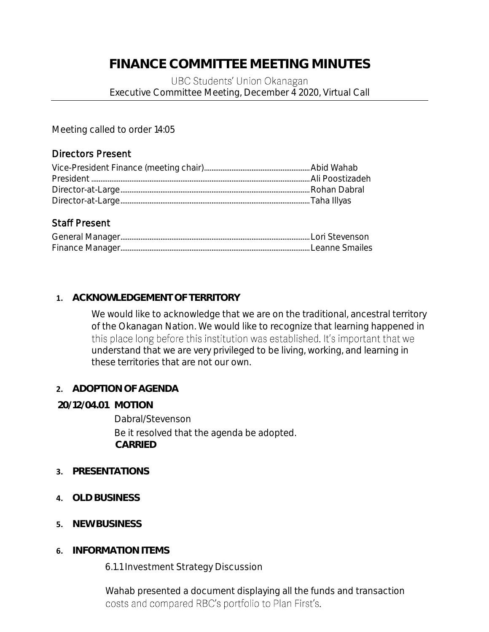## **FINANCE COMMITTEE MEETING MINUTES**

### UBC Students' Union Okanagan Executive Committee Meeting, December 4 2020, Virtual Call

Meeting called to order 14:05

### Directors Present

## Staff Present

## **1. ACKNOWLEDGEMENT OF TERRITORY**

We would like to acknowledge that we are on the traditional, ancestral territory of the Okanagan Nation. We would like to recognize that learning happened in this place long before this institution was established. It's important that we understand that we are very privileged to be living, working, and learning in these territories that are not our own.

## **2. ADOPTION OF AGENDA**

### **20/12/04.01 MOTION**

Dabral/Stevenson Be it resolved that the agenda be adopted. **CARRIED**

## **3. PRESENTATIONS**

- **4. OLD BUSINESS**
- **5. NEW BUSINESS**
- **6. INFORMATION ITEMS**

6.1.1 Investment Strategy Discussion

Wahab presented a document displaying all the funds and transaction costs and compared RBC's portfolio to Plan First's.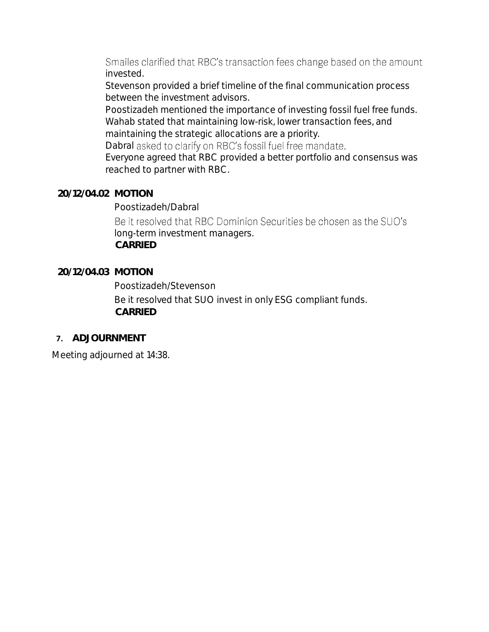Smailes clarified that RBC's transaction fees change based on the amount invested.

Stevenson provided a brief timeline of the final communication process between the investment advisors.

Poostizadeh mentioned the importance of investing fossil fuel free funds. Wahab stated that maintaining low-risk, lower transaction fees, and

maintaining the strategic allocations are a priority. Dabral asked to clarify on RBC's fossil fuel free mandate.

Everyone agreed that RBC provided a better portfolio and consensus was reached to partner with RBC.

### **20/12/04.02 MOTION**

Poostizadeh/Dabral

Be it resolved that RBC Dominion Securities be chosen as the SUO's long-term investment managers. **CARRIED**

### **20/12/04.03 MOTION**

Poostizadeh/Stevenson

Be it resolved that SUO invest in only ESG compliant funds. **CARRIED**

### **7. ADJOURNMENT**

Meeting adjourned at 14:38.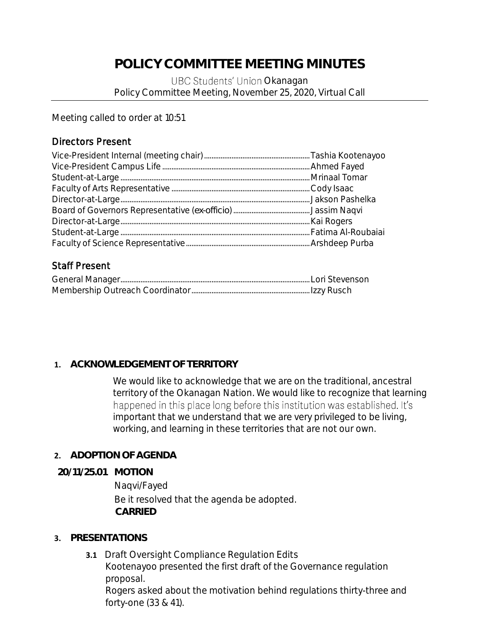# **POLICY COMMITTEE MEETING MINUTES**

UBC Students' Union Okanagan Policy Committee Meeting, November 25, 2020, Virtual Call

Meeting called to order at 10:51

## Directors Present

## Staff Present

## **1. ACKNOWLEDGEMENT OF TERRITORY**

We would like to acknowledge that we are on the traditional, ancestral territory of the Okanagan Nation. We would like to recognize that learning happened in this place long before this institution was established. It's important that we understand that we are very privileged to be living, working, and learning in these territories that are not our own.

## **2. ADOPTION OF AGENDA**

**20/11/25.01 MOTION**

Naqvi/Fayed Be it resolved that the agenda be adopted. **CARRIED**

## **3. PRESENTATIONS**

**3.1** Draft Oversight Compliance Regulation Edits Kootenayoo presented the first draft of the Governance regulation proposal. Rogers asked about the motivation behind regulations thirty-three and forty-one (33 & 41).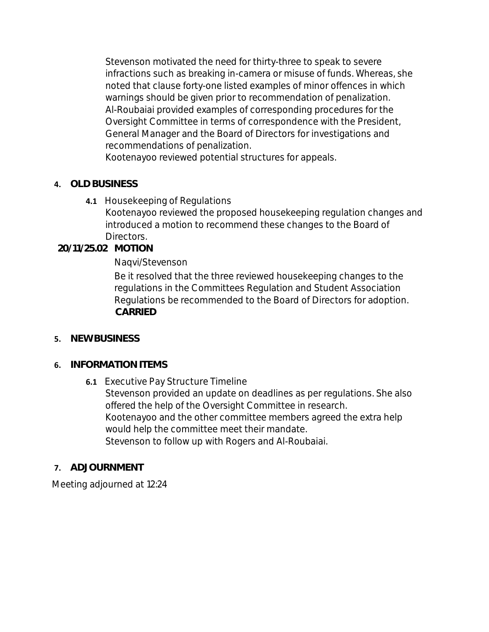Stevenson motivated the need for thirty-three to speak to severe infractions such as breaking in-camera or misuse of funds. Whereas, she noted that clause forty-one listed examples of minor offences in which warnings should be given prior to recommendation of penalization. Al-Roubaiai provided examples of corresponding procedures for the Oversight Committee in terms of correspondence with the President, General Manager and the Board of Directors for investigations and recommendations of penalization.

Kootenayoo reviewed potential structures for appeals.

- **4. OLD BUSINESS**
	- **4.1** Housekeeping of Regulations

Kootenayoo reviewed the proposed housekeeping regulation changes and introduced a motion to recommend these changes to the Board of Directors.

**20/11/25.02 MOTION**

Naqvi/Stevenson

Be it resolved that the three reviewed housekeeping changes to the regulations in the Committees Regulation and Student Association Regulations be recommended to the Board of Directors for adoption. **CARRIED**

- **5. NEW BUSINESS**
- **6. INFORMATION ITEMS**
	- **6.1** Executive Pay Structure Timeline Stevenson provided an update on deadlines as per regulations. She also offered the help of the Oversight Committee in research. Kootenayoo and the other committee members agreed the extra help would help the committee meet their mandate. Stevenson to follow up with Rogers and Al-Roubaiai.
- **7. ADJOURNMENT**

Meeting adjourned at 12:24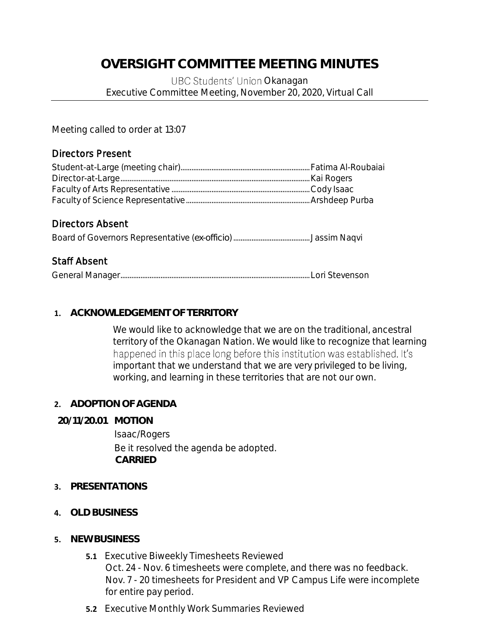## **OVERSIGHT COMMITTEE MEETING MINUTES**

UBC Students' Union Okanagan Executive Committee Meeting, November 20, 2020, Virtual Call

Meeting called to order at 13:07

### Directors Present

## Directors Absent

Board of Governors Representative (*ex-officio*).......................................... Jassim Naqvi

## Staff Absent

|--|--|--|--|

### **1. ACKNOWLEDGEMENT OF TERRITORY**

We would like to acknowledge that we are on the traditional, ancestral territory of the Okanagan Nation. We would like to recognize that learning happened in this place long before this institution was established. It's important that we understand that we are very privileged to be living, working, and learning in these territories that are not our own.

### **2. ADOPTION OF AGENDA**

**20/11/20.01 MOTION** 

Isaac/Rogers Be it resolved the agenda be adopted. **CARRIED**

- **3. PRESENTATIONS**
- **4. OLD BUSINESS**
- **5. NEW BUSINESS**
	- **5.1** Executive Biweekly Timesheets Reviewed Oct. 24 - Nov. 6 timesheets were complete, and there was no feedback. Nov. 7 - 20 timesheets for President and VP Campus Life were incomplete for entire pay period.
	- **5.2** Executive Monthly Work Summaries Reviewed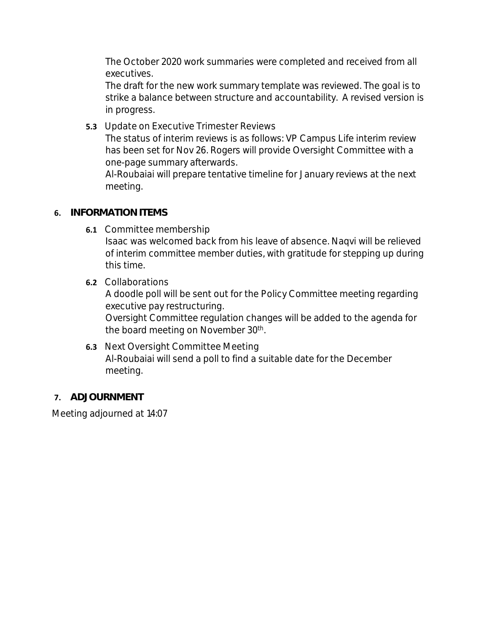The October 2020 work summaries were completed and received from all executives.

The draft for the new work summary template was reviewed. The goal is to strike a balance between structure and accountability. A revised version is in progress.

**5.3** Update on Executive Trimester Reviews The status of interim reviews is as follows: VP Campus Life interim review has been set for Nov 26. Rogers will provide Oversight Committee with a one-page summary afterwards. Al-Roubaiai will prepare tentative timeline for January reviews at the next

### **6. INFORMATION ITEMS**

meeting.

**6.1** Committee membership

Isaac was welcomed back from his leave of absence. Naqvi will be relieved of interim committee member duties, with gratitude for stepping up during this time.

**6.2** Collaborations

A doodle poll will be sent out for the Policy Committee meeting regarding executive pay restructuring.

Oversight Committee regulation changes will be added to the agenda for the board meeting on November 30<sup>th</sup>.

- **6.3** Next Oversight Committee Meeting Al-Roubaiai will send a poll to find a suitable date for the December meeting.
- **7. ADJOURNMENT**

Meeting adjourned at 14:07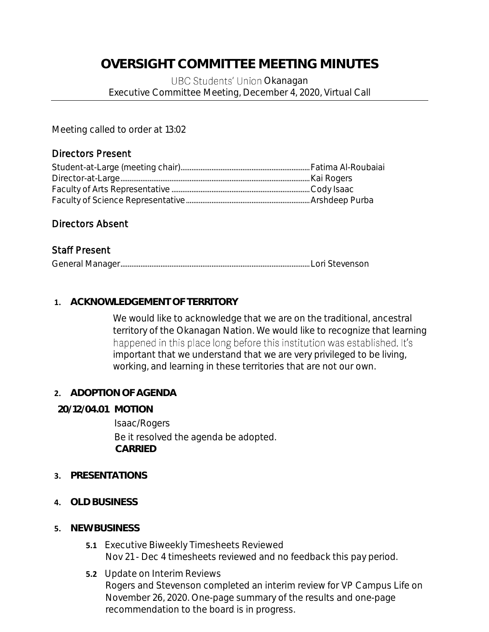## **OVERSIGHT COMMITTEE MEETING MINUTES**

UBC Students' Union Okanagan Executive Committee Meeting, December 4, 2020, Virtual Call

Meeting called to order at 13:02

### Directors Present

### Directors Absent

### Staff Present

|--|--|

### **1. ACKNOWLEDGEMENT OF TERRITORY**

We would like to acknowledge that we are on the traditional, ancestral territory of the Okanagan Nation. We would like to recognize that learning happened in this place long before this institution was established. It's important that we understand that we are very privileged to be living, working, and learning in these territories that are not our own.

### **2. ADOPTION OF AGENDA**

### **20/12/04.01 MOTION**

Isaac/Rogers Be it resolved the agenda be adopted. **CARRIED**

### **3. PRESENTATIONS**

- **4. OLD BUSINESS**
- **5. NEW BUSINESS**
	- **5.1** Executive Biweekly Timesheets Reviewed Nov 21 - Dec 4 timesheets reviewed and no feedback this pay period.
	- **5.2** Update on Interim Reviews Rogers and Stevenson completed an interim review for VP Campus Life on November 26, 2020. One-page summary of the results and one-page recommendation to the board is in progress.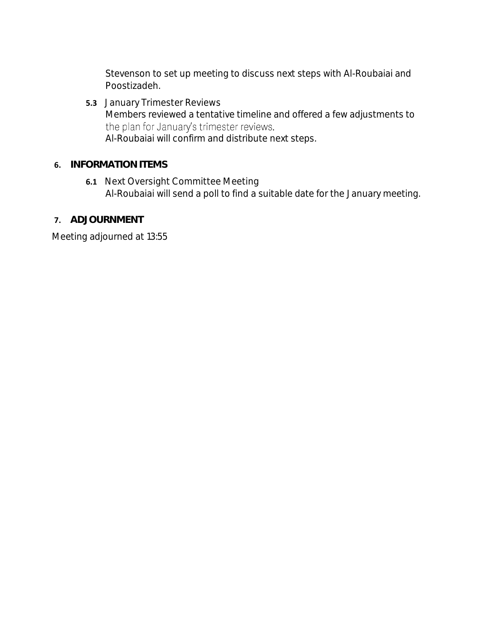Stevenson to set up meeting to discuss next steps with Al-Roubaiai and Poostizadeh.

**5.3** January Trimester Reviews Members reviewed a tentative timeline and offered a few adjustments to the plan for January's trimester reviews. Al-Roubaiai will confirm and distribute next steps.

### **6. INFORMATION ITEMS**

- **6.1** Next Oversight Committee Meeting Al-Roubaiai will send a poll to find a suitable date for the January meeting.
- **7. ADJOURNMENT**

Meeting adjourned at 13:55